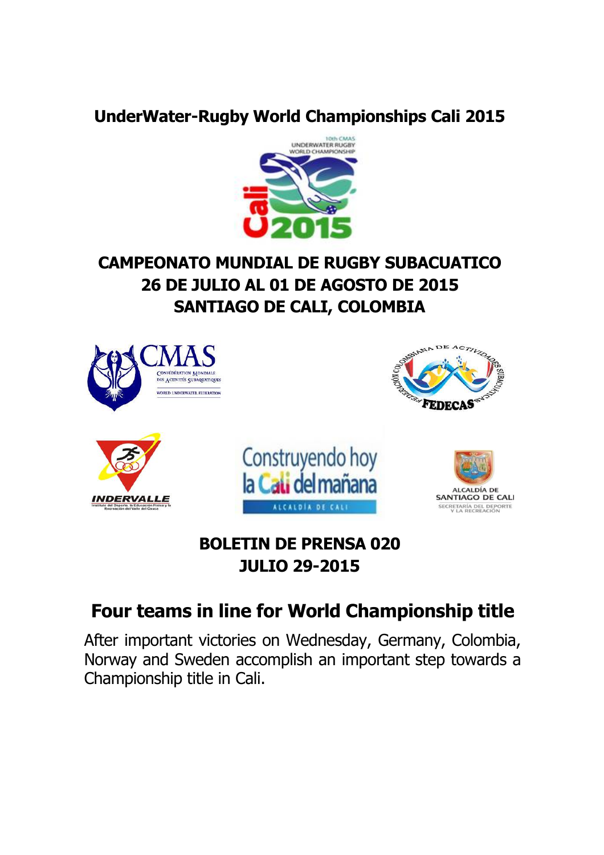#### **UnderWater-Rugby World Championships Cali 2015**



## **CAMPEONATO MUNDIAL DE RUGBY SUBACUATICO 26 DE JULIO AL 01 DE AGOSTO DE 2015 SANTIAGO DE CALI, COLOMBIA**



### **BOLETIN DE PRENSA 020 JULIO 29-2015**

# **Four teams in line for World Championship title**

After important victories on Wednesday, Germany, Colombia, Norway and Sweden accomplish an important step towards a Championship title in Cali.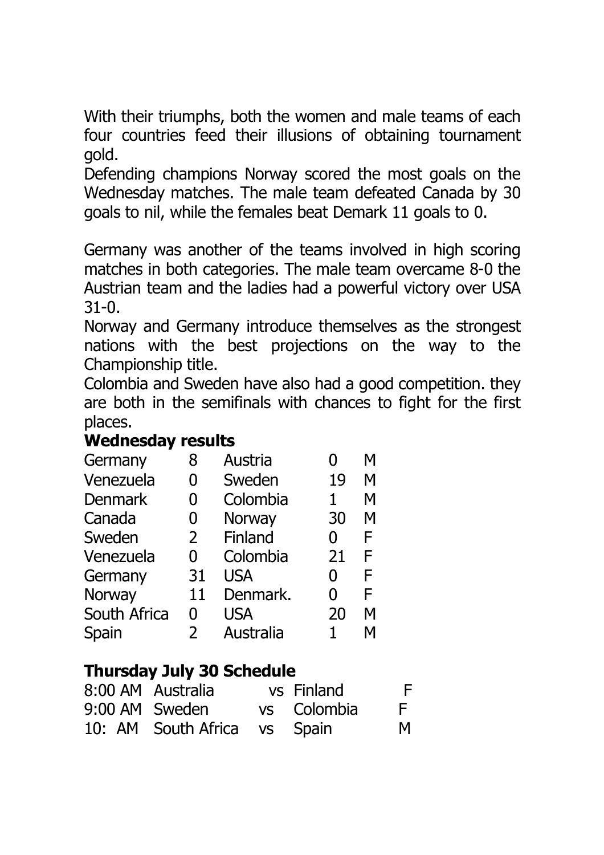With their triumphs, both the women and male teams of each four countries feed their illusions of obtaining tournament gold.

Defending champions Norway scored the most goals on the Wednesday matches. The male team defeated Canada by 30 goals to nil, while the females beat Demark 11 goals to 0.

Germany was another of the teams involved in high scoring matches in both categories. The male team overcame 8-0 the Austrian team and the ladies had a powerful victory over USA 31-0.

Norway and Germany introduce themselves as the strongest nations with the best projections on the way to the Championship title.

Colombia and Sweden have also had a good competition. they are both in the semifinals with chances to fight for the first places.

#### **Wednesday results**

| Germany        | 8              | Austria       |    | М |
|----------------|----------------|---------------|----|---|
| Venezuela      | 0              | Sweden        | 19 | M |
| <b>Denmark</b> | 0              | Colombia      | 1  | М |
| Canada         | 0              | <b>Norway</b> | 30 | М |
| Sweden         | $\overline{2}$ | Finland       | 0  | F |
| Venezuela      | 0              | Colombia      | 21 | F |
| Germany        | 31             | <b>USA</b>    | 0  | F |
| Norway         | 11             | Denmark.      | 0  | F |
| South Africa   | 0              | <b>USA</b>    | 20 | М |
| Spain          | $\mathbf{2}$   | Australia     |    | М |

### **Thursday July 30 Schedule**

| 8:00 AM Australia            | vs Finland  | F. |
|------------------------------|-------------|----|
| 9:00 AM Sweden               | vs Colombia | E. |
| 10: AM South Africa vs Spain |             | M  |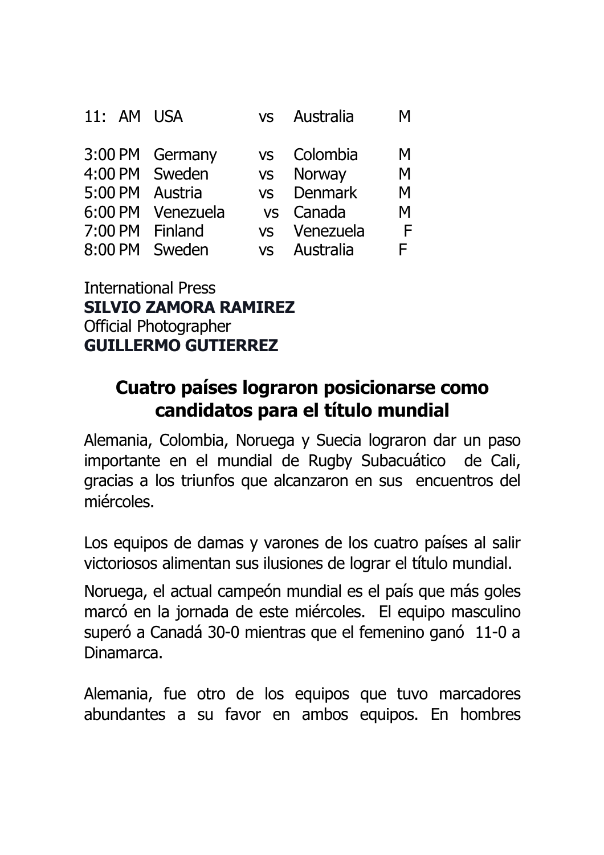| 11: AM USA     |                 | <b>VS</b> | Australia  | М |
|----------------|-----------------|-----------|------------|---|
|                | 3:00 PM Germany | <b>VS</b> | Colombia   | M |
| 4:00 PM Sweden |                 |           | vs Norway  | Μ |
| 5:00 PM        | Austria         |           | vs Denmark | Μ |
| 6:00 PM        | Venezuela       |           | vs Canada  | Μ |
| 7:00 PM        | Finland         | <b>VS</b> | Venezuela  | F |
| 8:00 PM        | Sweden          | <b>VS</b> | Australia  | F |

International Press **SILVIO ZAMORA RAMIREZ** Official Photographer **GUILLERMO GUTIERREZ**

## **Cuatro países lograron posicionarse como candidatos para el título mundial**

Alemania, Colombia, Noruega y Suecia lograron dar un paso importante en el mundial de Rugby Subacuático de Cali, gracias a los triunfos que alcanzaron en sus encuentros del miércoles.

Los equipos de damas y varones de los cuatro países al salir victoriosos alimentan sus ilusiones de lograr el título mundial.

Noruega, el actual campeón mundial es el país que más goles marcó en la jornada de este miércoles. El equipo masculino superó a Canadá 30-0 mientras que el femenino ganó 11-0 a Dinamarca.

Alemania, fue otro de los equipos que tuvo marcadores abundantes a su favor en ambos equipos. En hombres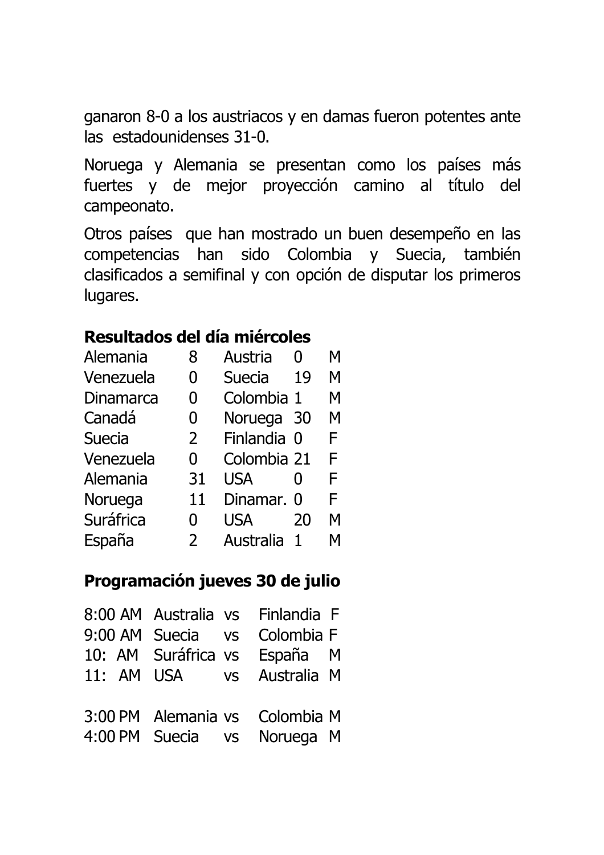ganaron 8-0 a los austriacos y en damas fueron potentes ante las estadounidenses 31-0.

Noruega y Alemania se presentan como los países más fuertes y de mejor proyección camino al título del campeonato.

Otros países que han mostrado un buen desempeño en las competencias han sido Colombia y Suecia, también clasificados a semifinal y con opción de disputar los primeros lugares.

#### **Resultados del día miércoles**

| Alemania         | 8              | Austria       | $\mathbf{\Omega}$ | М |
|------------------|----------------|---------------|-------------------|---|
| Venezuela        | 0              | <b>Suecia</b> | 19                | M |
| <b>Dinamarca</b> | 0              | Colombia 1    |                   | M |
| Canadá           | 0              | Noruega       | 30                | M |
| <b>Suecia</b>    | $\overline{2}$ | Finlandia 0   |                   | F |
| Venezuela        | 0              | Colombia 21   |                   | F |
| Alemania         | 31             | <b>USA</b>    | $\mathbf{0}$      | F |
| Noruega          | 11             | Dinamar. 0    |                   | F |
| Suráfrica        | O              | <b>USA</b>    | 20                | M |
| España           | $\mathcal{P}$  | Australia     | 1                 | М |

#### **Programación jueves 30 de julio**

| 8:00 AM Australia vs Finlandia F |  |  |
|----------------------------------|--|--|
| 9:00 AM Suecia vs Colombia F     |  |  |
| 10: AM Suráfrica vs España M     |  |  |
| 11: AM USA vs Australia M        |  |  |
|                                  |  |  |
| 3:00 PM Alemania vs Colombia M   |  |  |
| 4:00 PM Suecia vs Noruega M      |  |  |
|                                  |  |  |